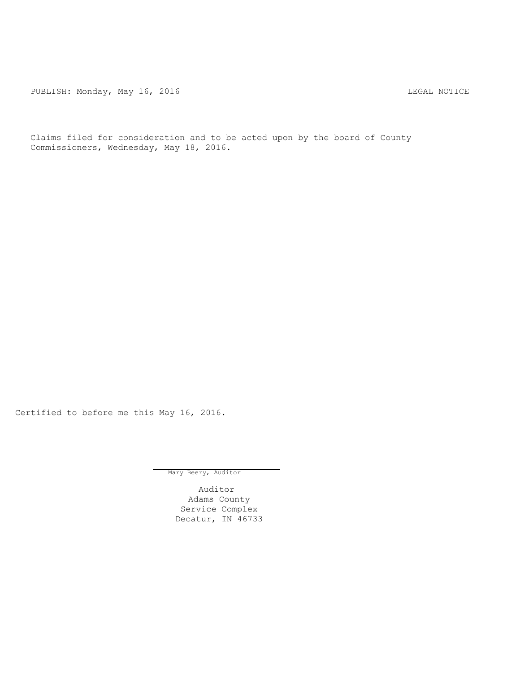PUBLISH: Monday, May 16, 2016 CHANGER AND THE MONDAY REGAL NOTICE

Claims filed for consideration and to be acted upon by the board of County Commissioners, Wednesday, May 18, 2016.

Certified to before me this May 16, 2016.

Mary Beery, Auditor

Auditor Adams County Service Complex Decatur, IN 46733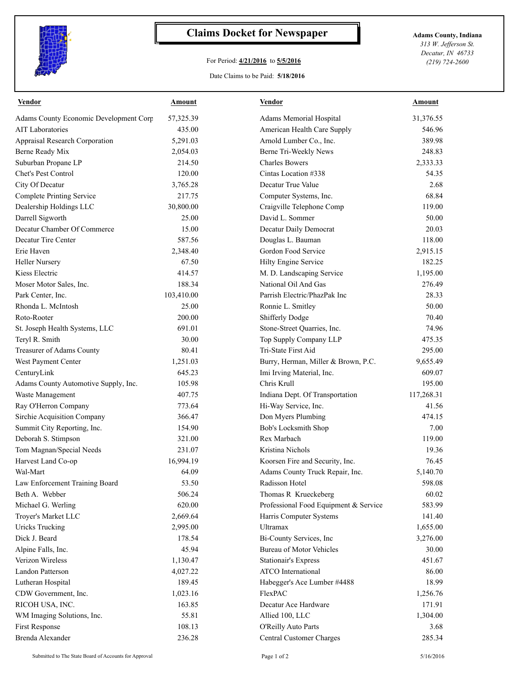

## **Claims Docket for Newspaper Adams County, Indiana**

## For Period: **4/21/2016** to **5/5/2016**

*313 W. Jefferson St. Decatur, IN 46733 (219) 724-2600*

## Date Claims to be Paid: **5/18/2016**

| Vendor                                 | Amount     | <b>Vendor</b>                         | Amount             |
|----------------------------------------|------------|---------------------------------------|--------------------|
| Adams County Economic Development Corp | 57,325.39  | Adams Memorial Hospital               | 31,376.55          |
| <b>AIT Laboratories</b>                | 435.00     | American Health Care Supply           | 546.96             |
| Appraisal Research Corporation         | 5,291.03   | Arnold Lumber Co., Inc.               | 389.98             |
| Berne Ready Mix                        | 2,054.03   | Berne Tri-Weekly News                 | 248.83             |
| Suburban Propane LP                    | 214.50     | <b>Charles Bowers</b>                 | 2,333.33           |
| <b>Chet's Pest Control</b>             | 120.00     | Cintas Location #338                  | 54.35              |
| City Of Decatur                        | 3,765.28   | Decatur True Value                    | 2.68               |
| <b>Complete Printing Service</b>       | 217.75     | Computer Systems, Inc.                | 68.84              |
| Dealership Holdings LLC                | 30,800.00  | Craigville Telephone Comp             | 119.00             |
| Darrell Sigworth                       | 25.00      | David L. Sommer                       | 50.00              |
| Decatur Chamber Of Commerce            | 15.00      | Decatur Daily Democrat                | 20.03              |
| Decatur Tire Center                    | 587.56     | Douglas L. Bauman                     | 118.00             |
| Erie Haven                             | 2,348.40   | Gordon Food Service                   | 2,915.15           |
| <b>Heller Nursery</b>                  | 67.50      | Hilty Engine Service                  | 182.25             |
| Kiess Electric                         | 414.57     | M. D. Landscaping Service             | 1,195.00           |
| Moser Motor Sales, Inc.                | 188.34     | National Oil And Gas                  | 276.49             |
| Park Center, Inc.                      | 103,410.00 | Parrish Electric/PhazPak Inc          | 28.33              |
| Rhonda L. McIntosh                     | 25.00      | Ronnie L. Smitley                     | 50.00              |
| Roto-Rooter                            | 200.00     | <b>Shifferly Dodge</b>                | 70.40              |
| St. Joseph Health Systems, LLC         | 691.01     | Stone-Street Quarries, Inc.           | 74.96              |
| Teryl R. Smith                         | 30.00      | Top Supply Company LLP                | 475.35             |
| Treasurer of Adams County              | 80.41      | Tri-State First Aid                   | 295.00             |
| West Payment Center                    | 1,251.03   | Burry, Herman, Miller & Brown, P.C.   | 9,655.49           |
| CenturyLink                            | 645.23     | Imi Irving Material, Inc.             | 609.07             |
| Adams County Automotive Supply, Inc.   | 105.98     | Chris Krull                           | 195.00             |
| Waste Management                       | 407.75     | Indiana Dept. Of Transportation       | 117,268.31         |
| Ray O'Herron Company                   | 773.64     | Hi-Way Service, Inc.                  | 41.56              |
| Sirchie Acquisition Company            | 366.47     | Don Myers Plumbing                    | 474.15             |
| Summit City Reporting, Inc.            | 154.90     | Bob's Locksmith Shop                  | 7.00               |
| Deborah S. Stimpson                    | 321.00     | Rex Marbach                           | 119.00             |
| Tom Magnan/Special Needs               | 231.07     | Kristina Nichols                      | 19.36              |
| Harvest Land Co-op                     | 16,994.19  | Koorsen Fire and Security, Inc.       | 76.45              |
| Wal-Mart                               | 64.09      | Adams County Truck Repair, Inc.       | 5,140.70           |
| Law Enforcement Training Board         | 53.50      | Radisson Hotel                        | 598.08             |
| Beth A. Webber                         | 506.24     | Thomas R Krueckeberg                  | 60.02              |
| Michael G. Werling                     | 620.00     | Professional Food Equipment & Service | 583.99             |
| Troyer's Market LLC                    | 2,669.64   | Harris Computer Systems               | 141.40             |
| <b>Uricks Trucking</b>                 | 2,995.00   | Ultramax                              | 1,655.00           |
| Dick J. Beard                          | 178.54     | Bi-County Services, Inc               | 3,276.00           |
| Alpine Falls, Inc.                     | 45.94      | Bureau of Motor Vehicles              | 30.00              |
| Verizon Wireless                       | 1,130.47   | <b>Stationair's Express</b>           | 451.67             |
| Landon Patterson                       | 4,027.22   | ATCO International                    | 86.00              |
| Lutheran Hospital                      | 189.45     | Habegger's Ace Lumber #4488           | 18.99              |
|                                        |            |                                       |                    |
| CDW Government, Inc.                   | 1,023.16   | FlexPAC<br>Decatur Ace Hardware       | 1,256.76<br>171.91 |
| RICOH USA, INC.                        | 163.85     |                                       |                    |
| WM Imaging Solutions, Inc.             | 55.81      | Allied 100, LLC                       | 1,304.00           |
| First Response                         | 108.13     | O'Reilly Auto Parts                   | 3.68               |
| Brenda Alexander                       | 236.28     | Central Customer Charges              | 285.34             |